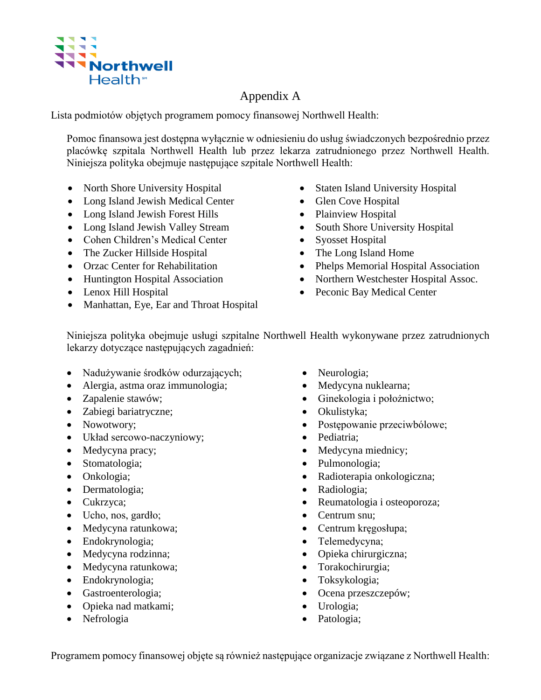

## Appendix A

Lista podmiotów objętych programem pomocy finansowej Northwell Health:

Pomoc finansowa jest dostępna wyłącznie w odniesieniu do usług świadczonych bezpośrednio przez placówkę szpitala Northwell Health lub przez lekarza zatrudnionego przez Northwell Health. Niniejsza polityka obejmuje następujące szpitale Northwell Health:

- North Shore University Hospital
- Long Island Jewish Medical Center
- Long Island Jewish Forest Hills
- Long Island Jewish Valley Stream
- Cohen Children's Medical Center
- The Zucker Hillside Hospital
- Orzac Center for Rehabilitation
- Huntington Hospital Association
- Lenox Hill Hospital
- Manhattan, Eye, Ear and Throat Hospital
- Staten Island University Hospital
- Glen Cove Hospital
- Plainview Hospital
- South Shore University Hospital
- Syosset Hospital
- The Long Island Home
- Phelps Memorial Hospital Association
- Northern Westchester Hospital Assoc.
- Peconic Bay Medical Center

Niniejsza polityka obejmuje usługi szpitalne Northwell Health wykonywane przez zatrudnionych lekarzy dotyczące następujących zagadnień:

- Nadużywanie środków odurzających;
- Alergia, astma oraz immunologia;
- Zapalenie stawów;
- Zabiegi bariatryczne;
- Nowotwory;
- Układ sercowo-naczyniowy;
- Medycyna pracy;
- Stomatologia;
- Onkologia;
- Dermatologia;
- Cukrzyca;
- Ucho, nos, gardło;
- Medycyna ratunkowa;
- Endokrynologia;
- Medycyna rodzinna;
- Medycyna ratunkowa;
- Endokrynologia;
- Gastroenterologia;
- Opieka nad matkami;
- Nefrologia
- Neurologia;
- Medycyna nuklearna;
- Ginekologia i położnictwo;
- Okulistyka;
- Postępowanie przeciwbólowe;
- Pediatria;
- Medycyna miednicy;
- Pulmonologia;
- Radioterapia onkologiczna;
- Radiologia;
- Reumatologia i osteoporoza;
- Centrum snu;
- Centrum kręgosłupa;
- Telemedycyna;
- Opieka chirurgiczna;
- Torakochirurgia;
- Toksykologia;
- Ocena przeszczepów;
- Urologia;
- Patologia;

Programem pomocy finansowej objęte są również następujące organizacje związane z Northwell Health: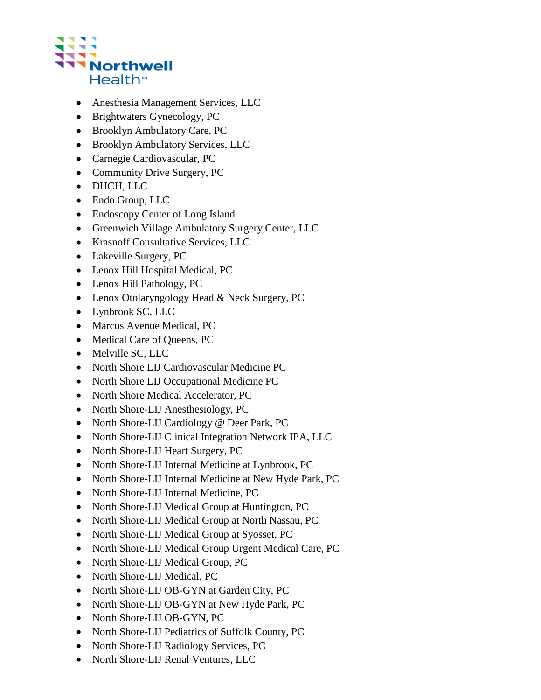

- Anesthesia Management Services, LLC
- Brightwaters Gynecology, PC
- Brooklyn Ambulatory Care, PC
- Brooklyn Ambulatory Services, LLC
- Carnegie Cardiovascular, PC
- Community Drive Surgery, PC
- DHCH, LLC
- Endo Group, LLC
- Endoscopy Center of Long Island
- Greenwich Village Ambulatory Surgery Center, LLC
- Krasnoff Consultative Services, LLC
- Lakeville Surgery, PC
- Lenox Hill Hospital Medical, PC
- Lenox Hill Pathology, PC
- Lenox Otolaryngology Head & Neck Surgery, PC
- Lynbrook SC, LLC
- Marcus Avenue Medical, PC
- Medical Care of Queens, PC
- Melville SC, LLC
- North Shore LIJ Cardiovascular Medicine PC
- North Shore LIJ Occupational Medicine PC
- North Shore Medical Accelerator, PC
- North Shore-LIJ Anesthesiology, PC
- North Shore-LIJ Cardiology @ Deer Park, PC
- North Shore-LIJ Clinical Integration Network IPA, LLC
- North Shore-LIJ Heart Surgery, PC
- North Shore-LIJ Internal Medicine at Lynbrook, PC
- North Shore-LIJ Internal Medicine at New Hyde Park, PC
- North Shore-LIJ Internal Medicine, PC
- North Shore-LIJ Medical Group at Huntington, PC
- North Shore-LIJ Medical Group at North Nassau, PC
- North Shore-LIJ Medical Group at Syosset, PC
- North Shore-LIJ Medical Group Urgent Medical Care, PC
- North Shore-LIJ Medical Group, PC
- North Shore-LIJ Medical, PC
- North Shore-LIJ OB-GYN at Garden City, PC
- North Shore-LIJ OB-GYN at New Hyde Park, PC
- North Shore-LIJ OB-GYN, PC
- North Shore-LIJ Pediatrics of Suffolk County, PC
- North Shore-LIJ Radiology Services, PC
- North Shore-LIJ Renal Ventures, LLC